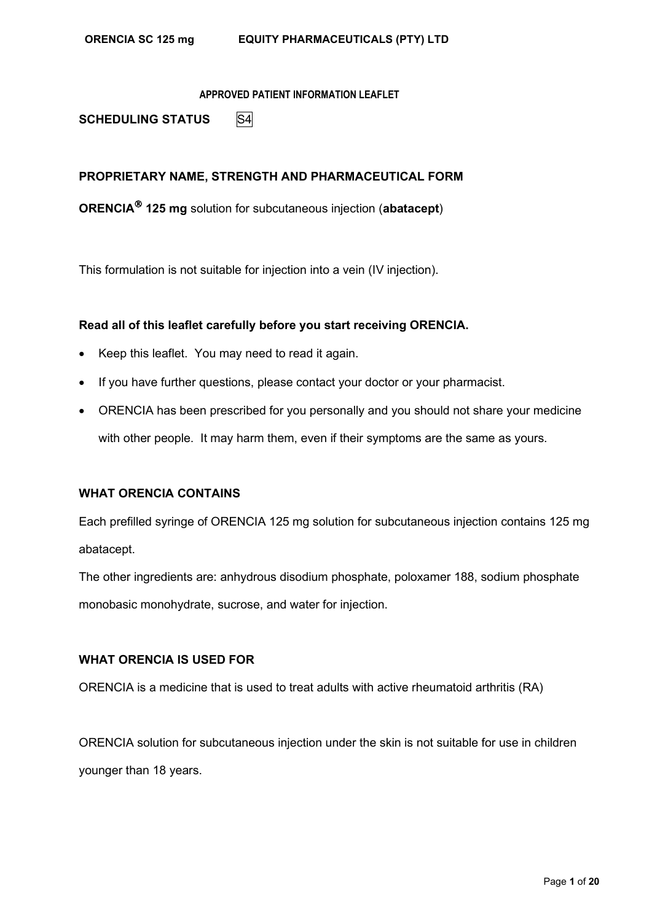**SCHEDULING STATUS** S4

# **PROPRIETARY NAME, STRENGTH AND PHARMACEUTICAL FORM**

**ORENCIA 125 mg** solution for subcutaneous injection (**abatacept**)

This formulation is not suitable for injection into a vein (IV injection).

# **Read all of this leaflet carefully before you start receiving ORENCIA.**

- Keep this leaflet. You may need to read it again.
- If you have further questions, please contact your doctor or your pharmacist.
- ORENCIA has been prescribed for you personally and you should not share your medicine with other people. It may harm them, even if their symptoms are the same as yours.

## **WHAT ORENCIA CONTAINS**

Each prefilled syringe of ORENCIA 125 mg solution for subcutaneous injection contains 125 mg abatacept.

The other ingredients are: anhydrous disodium phosphate, poloxamer 188, sodium phosphate monobasic monohydrate, sucrose, and water for injection.

# **WHAT ORENCIA IS USED FOR**

ORENCIA is a medicine that is used to treat adults with active rheumatoid arthritis (RA)

ORENCIA solution for subcutaneous injection under the skin is not suitable for use in children younger than 18 years.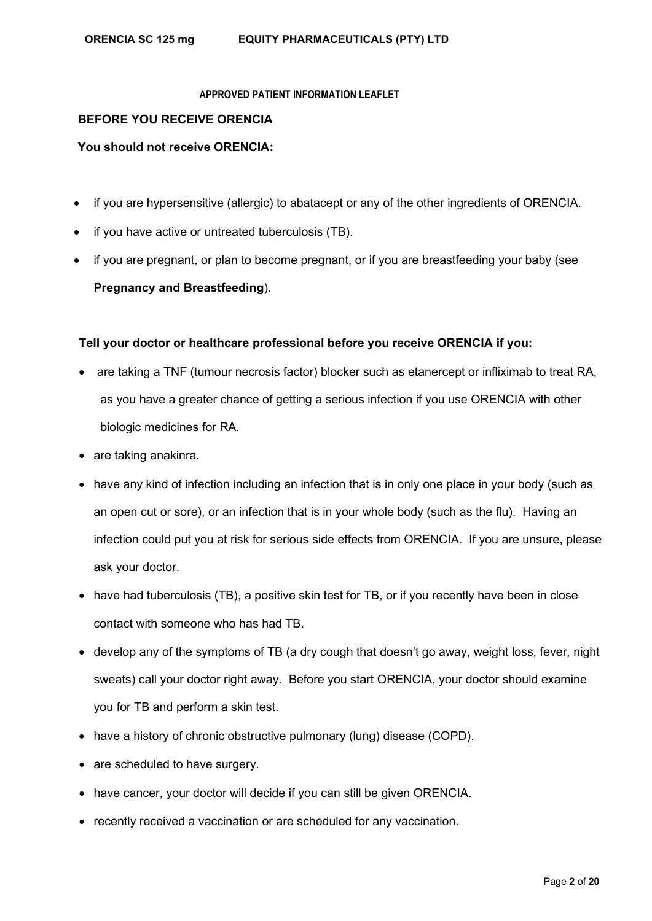# **BEFORE YOU RECEIVE ORENCIA**

## **You should not receive ORENCIA:**

- if you are hypersensitive (allergic) to abatacept or any of the other ingredients of ORENCIA.
- if you have active or untreated tuberculosis (TB).
- if you are pregnant, or plan to become pregnant, or if you are breastfeeding your baby (see **Pregnancy and Breastfeeding**).

# **Tell your doctor or healthcare professional before you receive ORENCIA if you:**

- are taking a TNF (tumour necrosis factor) blocker such as etanercept or infliximab to treat RA, as you have a greater chance of getting a serious infection if you use ORENCIA with other biologic medicines for RA.
- are taking anakinra.
- have any kind of infection including an infection that is in only one place in your body (such as an open cut or sore), or an infection that is in your whole body (such as the flu). Having an infection could put you at risk for serious side effects from ORENCIA. If you are unsure, please ask your doctor.
- have had tuberculosis (TB), a positive skin test for TB, or if you recently have been in close contact with someone who has had TB.
- develop any of the symptoms of TB (a dry cough that doesn't go away, weight loss, fever, night sweats) call your doctor right away. Before you start ORENCIA, your doctor should examine you for TB and perform a skin test.
- have a history of chronic obstructive pulmonary (lung) disease (COPD).
- are scheduled to have surgery.
- have cancer, your doctor will decide if you can still be given ORENCIA.
- recently received a vaccination or are scheduled for any vaccination.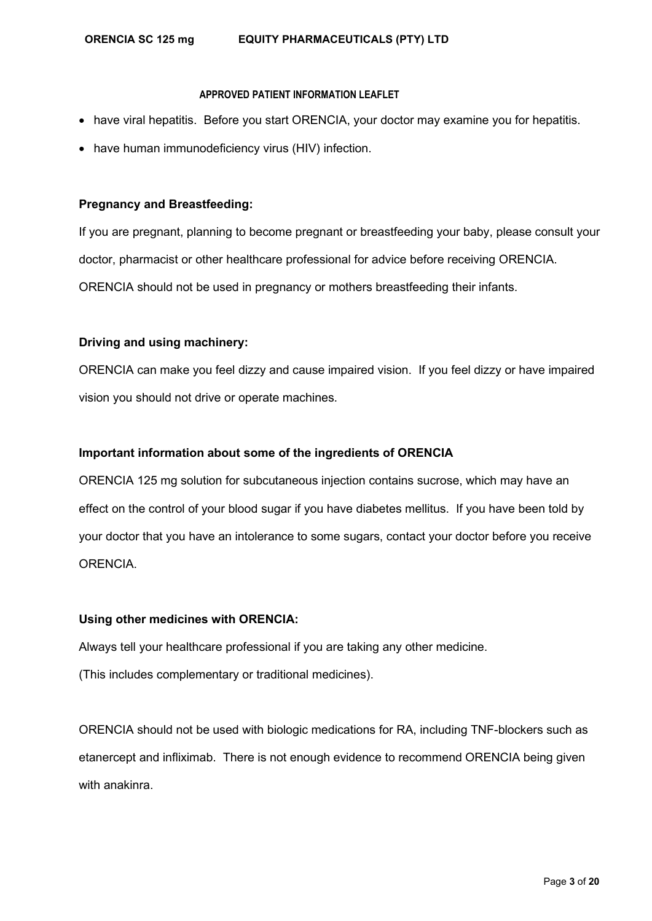- have viral hepatitis. Before you start ORENCIA, your doctor may examine you for hepatitis.
- have human immunodeficiency virus (HIV) infection.

# **Pregnancy and Breastfeeding:**

If you are pregnant, planning to become pregnant or breastfeeding your baby, please consult your doctor, pharmacist or other healthcare professional for advice before receiving ORENCIA. ORENCIA should not be used in pregnancy or mothers breastfeeding their infants.

# **Driving and using machinery:**

ORENCIA can make you feel dizzy and cause impaired vision. If you feel dizzy or have impaired vision you should not drive or operate machines.

# **Important information about some of the ingredients of ORENCIA**

ORENCIA 125 mg solution for subcutaneous injection contains sucrose, which may have an effect on the control of your blood sugar if you have diabetes mellitus. If you have been told by your doctor that you have an intolerance to some sugars, contact your doctor before you receive ORENCIA.

## **Using other medicines with ORENCIA:**

Always tell your healthcare professional if you are taking any other medicine.

(This includes complementary or traditional medicines).

ORENCIA should not be used with biologic medications for RA, including TNF-blockers such as etanercept and infliximab. There is not enough evidence to recommend ORENCIA being given with anakinra.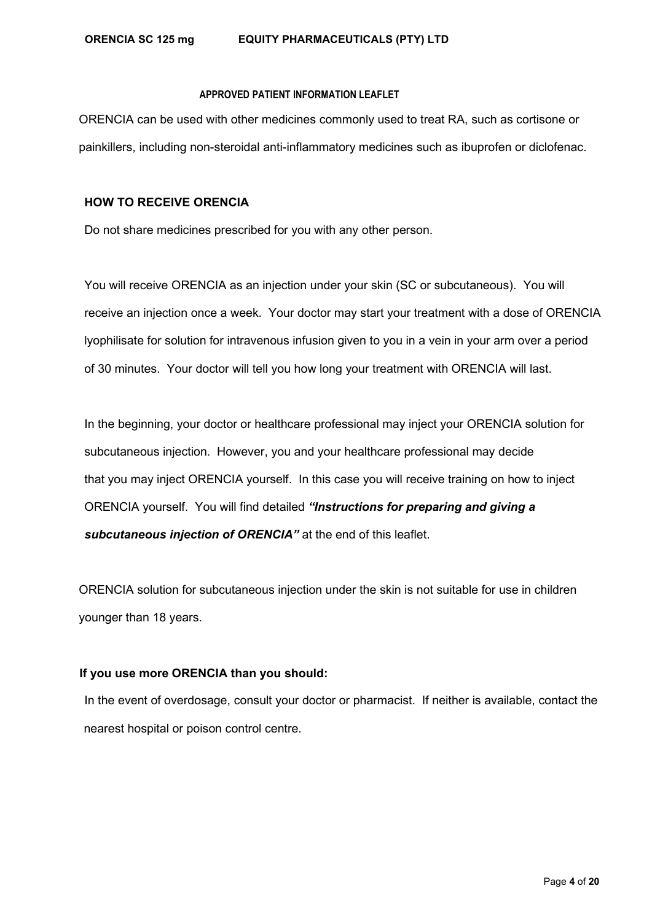ORENCIA can be used with other medicines commonly used to treat RA, such as cortisone or painkillers, including non-steroidal anti-inflammatory medicines such as ibuprofen or diclofenac.

### **HOW TO RECEIVE ORENCIA**

Do not share medicines prescribed for you with any other person.

You will receive ORENCIA as an injection under your skin (SC or subcutaneous). You will receive an injection once a week. Your doctor may start your treatment with a dose of ORENCIA lyophilisate for solution for intravenous infusion given to you in a vein in your arm over a period of 30 minutes. Your doctor will tell you how long your treatment with ORENCIA will last.

In the beginning, your doctor or healthcare professional may inject your ORENCIA solution for subcutaneous injection. However, you and your healthcare professional may decide that you may inject ORENCIA yourself. In this case you will receive training on how to inject ORENCIA yourself. You will find detailed *"Instructions for preparing and giving a subcutaneous injection of ORENCIA"* at the end of this leaflet.

ORENCIA solution for subcutaneous injection under the skin is not suitable for use in children younger than 18 years.

# **If you use more ORENCIA than you should:**

In the event of overdosage, consult your doctor or pharmacist. If neither is available, contact the nearest hospital or poison control centre.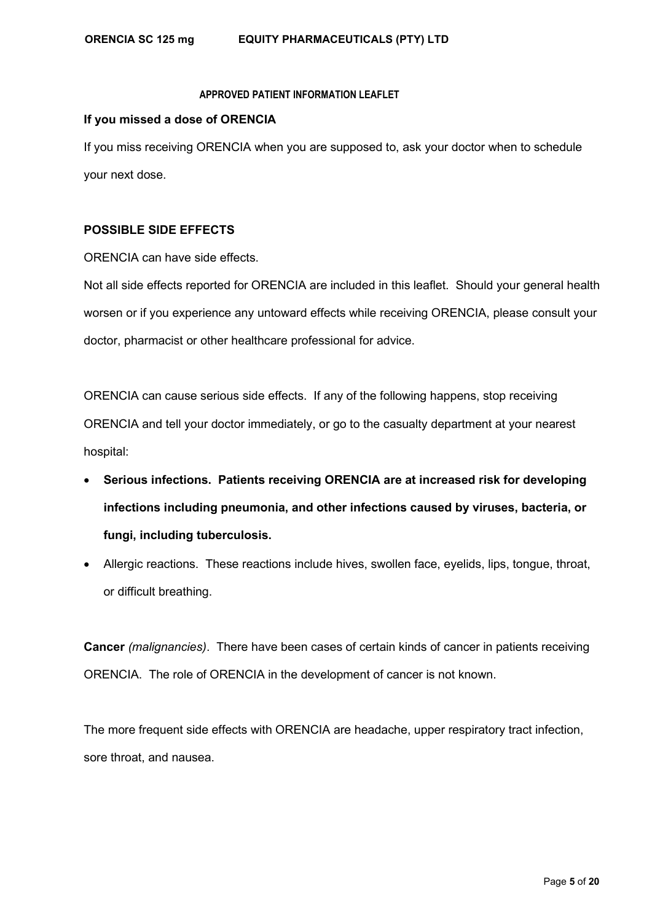# **If you missed a dose of ORENCIA**

If you miss receiving ORENCIA when you are supposed to, ask your doctor when to schedule your next dose.

# **POSSIBLE SIDE EFFECTS**

ORENCIA can have side effects.

Not all side effects reported for ORENCIA are included in this leaflet. Should your general health worsen or if you experience any untoward effects while receiving ORENCIA, please consult your doctor, pharmacist or other healthcare professional for advice.

ORENCIA can cause serious side effects. If any of the following happens, stop receiving ORENCIA and tell your doctor immediately, or go to the casualty department at your nearest hospital:

- **Serious infections. Patients receiving ORENCIA are at increased risk for developing infections including pneumonia, and other infections caused by viruses, bacteria, or fungi, including tuberculosis.**
- Allergic reactions. These reactions include hives, swollen face, eyelids, lips, tongue, throat, or difficult breathing.

**Cancer** *(malignancies)*. There have been cases of certain kinds of cancer in patients receiving ORENCIA. The role of ORENCIA in the development of cancer is not known.

The more frequent side effects with ORENCIA are headache, upper respiratory tract infection, sore throat, and nausea.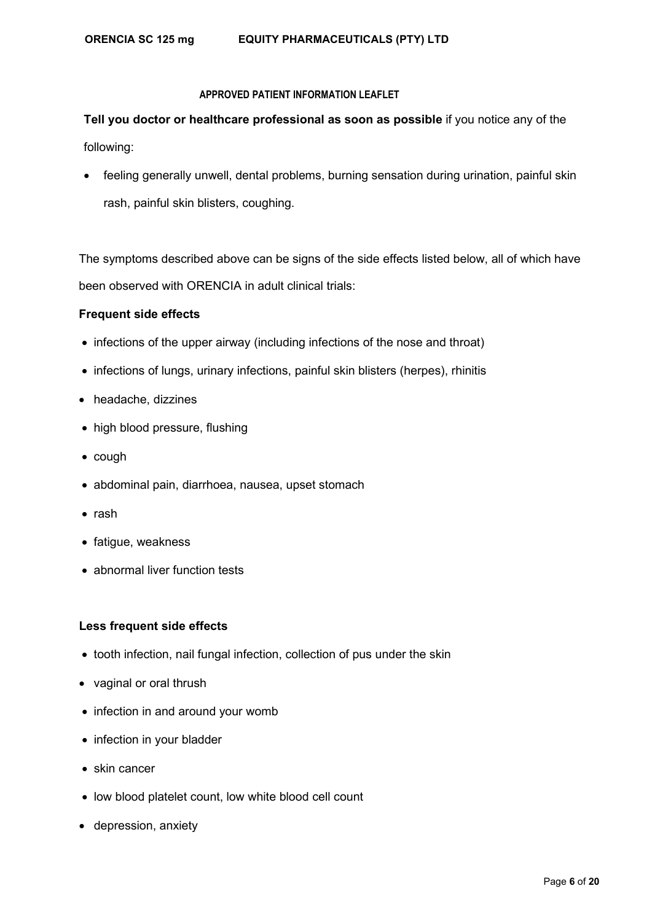**Tell you doctor or healthcare professional as soon as possible** if you notice any of the following:

• feeling generally unwell, dental problems, burning sensation during urination, painful skin rash, painful skin blisters, coughing.

The symptoms described above can be signs of the side effects listed below, all of which have been observed with ORENCIA in adult clinical trials:

# **Frequent side effects**

- infections of the upper airway (including infections of the nose and throat)
- infections of lungs, urinary infections, painful skin blisters (herpes), rhinitis
- headache, dizzines
- high blood pressure, flushing
- cough
- abdominal pain, diarrhoea, nausea, upset stomach
- rash
- fatigue, weakness
- abnormal liver function tests

## **Less frequent side effects**

- tooth infection, nail fungal infection, collection of pus under the skin
- vaginal or oral thrush
- infection in and around your womb
- infection in your bladder
- skin cancer
- low blood platelet count, low white blood cell count
- depression, anxiety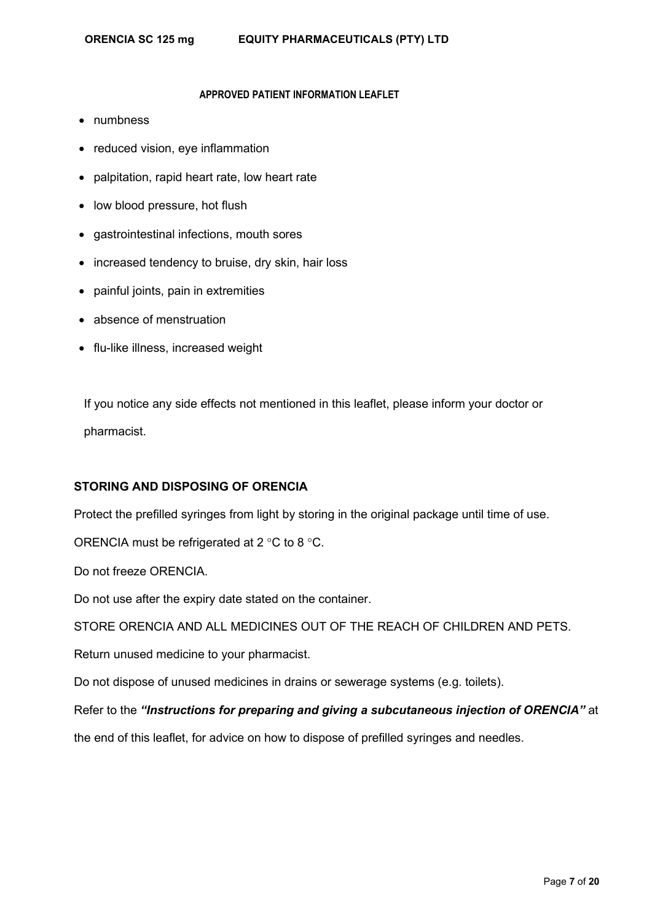- numbness
- reduced vision, eye inflammation
- palpitation, rapid heart rate, low heart rate
- low blood pressure, hot flush
- gastrointestinal infections, mouth sores
- increased tendency to bruise, dry skin, hair loss
- painful joints, pain in extremities
- absence of menstruation
- flu-like illness, increased weight

If you notice any side effects not mentioned in this leaflet, please inform your doctor or pharmacist.

# **STORING AND DISPOSING OF ORENCIA**

Protect the prefilled syringes from light by storing in the original package until time of use.

ORENCIA must be refrigerated at 2 °C to 8 °C.

Do not freeze ORENCIA.

Do not use after the expiry date stated on the container.

STORE ORENCIA AND ALL MEDICINES OUT OF THE REACH OF CHILDREN AND PETS.

Return unused medicine to your pharmacist.

Do not dispose of unused medicines in drains or sewerage systems (e.g. toilets).

Refer to the *"Instructions for preparing and giving a subcutaneous injection of ORENCIA"* at

the end of this leaflet, for advice on how to dispose of prefilled syringes and needles.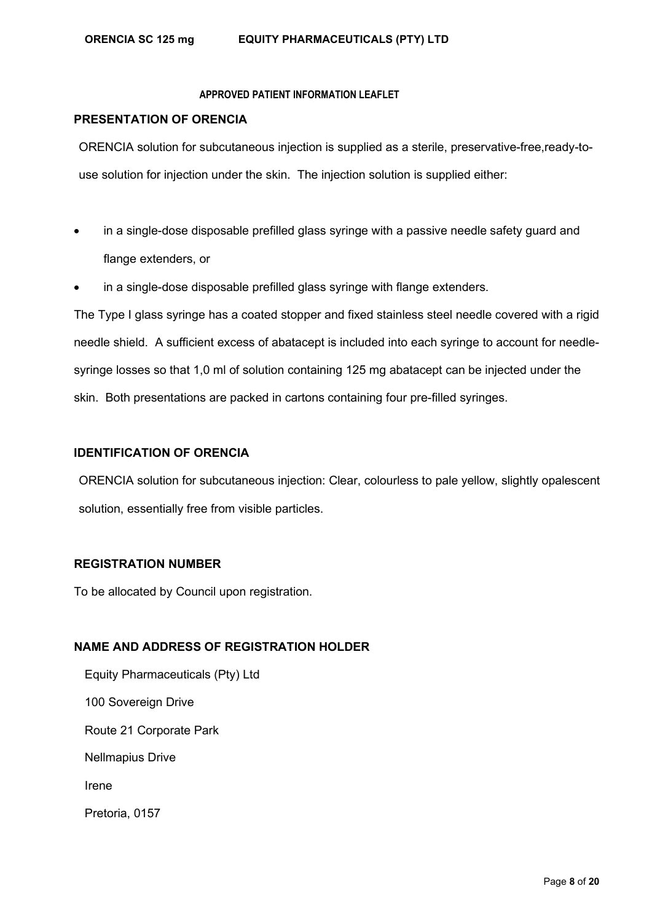# **PRESENTATION OF ORENCIA**

ORENCIA solution for subcutaneous injection is supplied as a sterile, preservative-free,ready-touse solution for injection under the skin. The injection solution is supplied either:

- in a single-dose disposable prefilled glass syringe with a passive needle safety guard and flange extenders, or
- in a single-dose disposable prefilled glass syringe with flange extenders.

The Type I glass syringe has a coated stopper and fixed stainless steel needle covered with a rigid needle shield. A sufficient excess of abatacept is included into each syringe to account for needlesyringe losses so that 1,0 ml of solution containing 125 mg abatacept can be injected under the skin. Both presentations are packed in cartons containing four pre-filled syringes.

# **IDENTIFICATION OF ORENCIA**

ORENCIA solution for subcutaneous injection: Clear, colourless to pale yellow, slightly opalescent solution, essentially free from visible particles.

# **REGISTRATION NUMBER**

To be allocated by Council upon registration.

# **NAME AND ADDRESS OF REGISTRATION HOLDER**

Equity Pharmaceuticals (Pty) Ltd 100 Sovereign Drive Route 21 Corporate Park Nellmapius Drive Irene Pretoria, 0157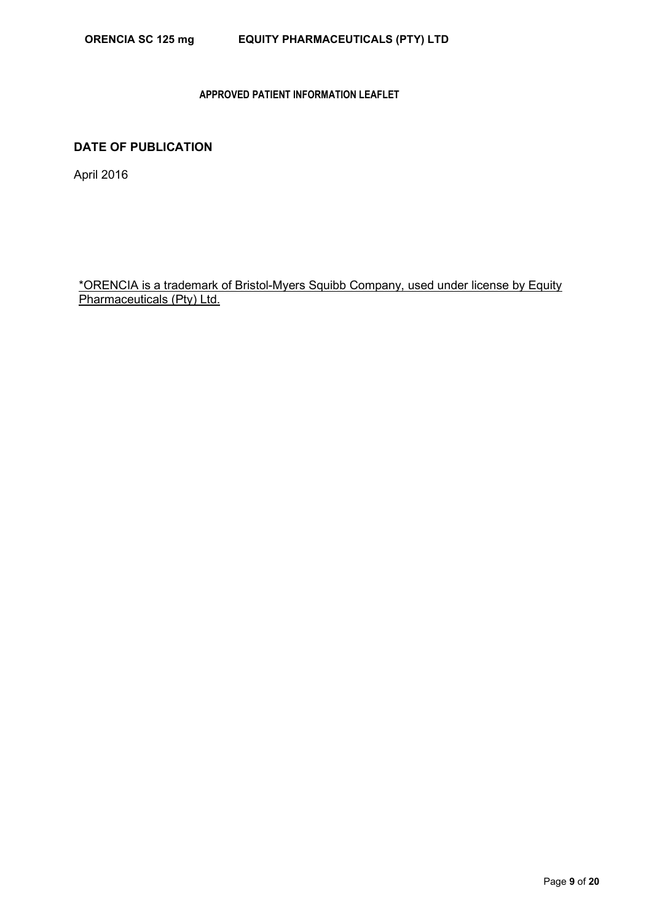# **DATE OF PUBLICATION**

April 2016

\*ORENCIA is a trademark of Bristol-Myers Squibb Company, used under license by Equity Pharmaceuticals (Pty) Ltd.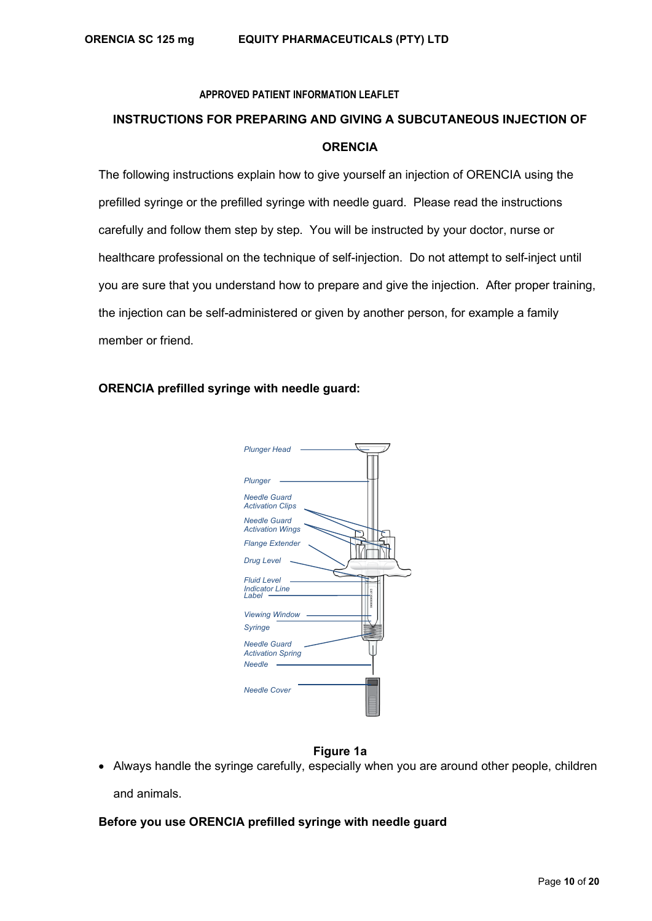# **INSTRUCTIONS FOR PREPARING AND GIVING A SUBCUTANEOUS INJECTION OF ORENCIA**

The following instructions explain how to give yourself an injection of ORENCIA using the prefilled syringe or the prefilled syringe with needle guard. Please read the instructions carefully and follow them step by step. You will be instructed by your doctor, nurse or healthcare professional on the technique of self-injection. Do not attempt to self-inject until you are sure that you understand how to prepare and give the injection. After proper training, the injection can be self-administered or given by another person, for example a family member or friend.

# **ORENCIA prefilled syringe with needle guard:**



# **Figure 1a**

• Always handle the syringe carefully, especially when you are around other people, children and animals.

# **Before you use ORENCIA prefilled syringe with needle guard**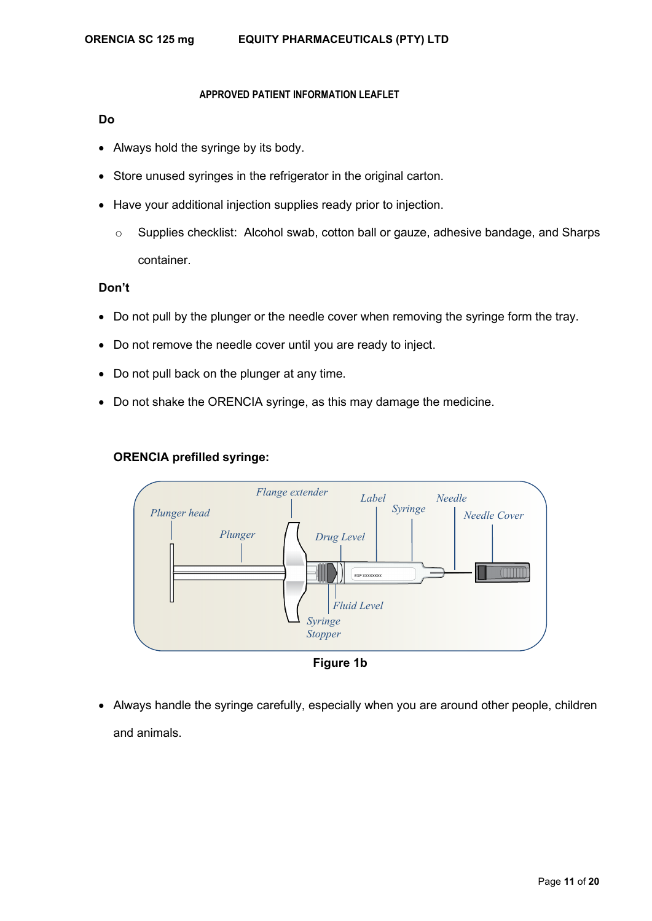## **Do**

- Always hold the syringe by its body.
- Store unused syringes in the refrigerator in the original carton.
- Have your additional injection supplies ready prior to injection.
	- o Supplies checklist: Alcohol swab, cotton ball or gauze, adhesive bandage, and Sharps container.

## **Don't**

- Do not pull by the plunger or the needle cover when removing the syringe form the tray.
- Do not remove the needle cover until you are ready to inject.
- Do not pull back on the plunger at any time.
- Do not shake the ORENCIA syringe, as this may damage the medicine.





**Figure 1b**

• Always handle the syringe carefully, especially when you are around other people, children and animals.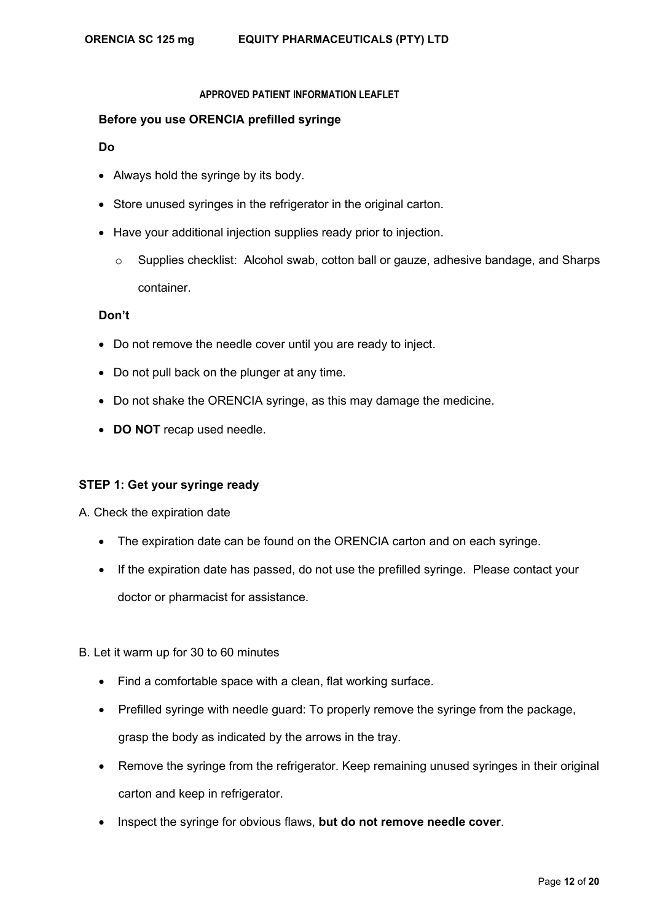## **Before you use ORENCIA prefilled syringe**

#### **Do**

- Always hold the syringe by its body.
- Store unused syringes in the refrigerator in the original carton.
- Have your additional injection supplies ready prior to injection.
	- o Supplies checklist: Alcohol swab, cotton ball or gauze, adhesive bandage, and Sharps container.

## **Don't**

- Do not remove the needle cover until you are ready to inject.
- Do not pull back on the plunger at any time.
- Do not shake the ORENCIA syringe, as this may damage the medicine.
- **DO NOT** recap used needle.

## **STEP 1: Get your syringe ready**

A. Check the expiration date

- The expiration date can be found on the ORENCIA carton and on each syringe.
- If the expiration date has passed, do not use the prefilled syringe. Please contact your doctor or pharmacist for assistance.

B. Let it warm up for 30 to 60 minutes

- Find a comfortable space with a clean, flat working surface.
- Prefilled syringe with needle guard: To properly remove the syringe from the package, grasp the body as indicated by the arrows in the tray.
- Remove the syringe from the refrigerator. Keep remaining unused syringes in their original carton and keep in refrigerator.
- Inspect the syringe for obvious flaws, **but do not remove needle cover**.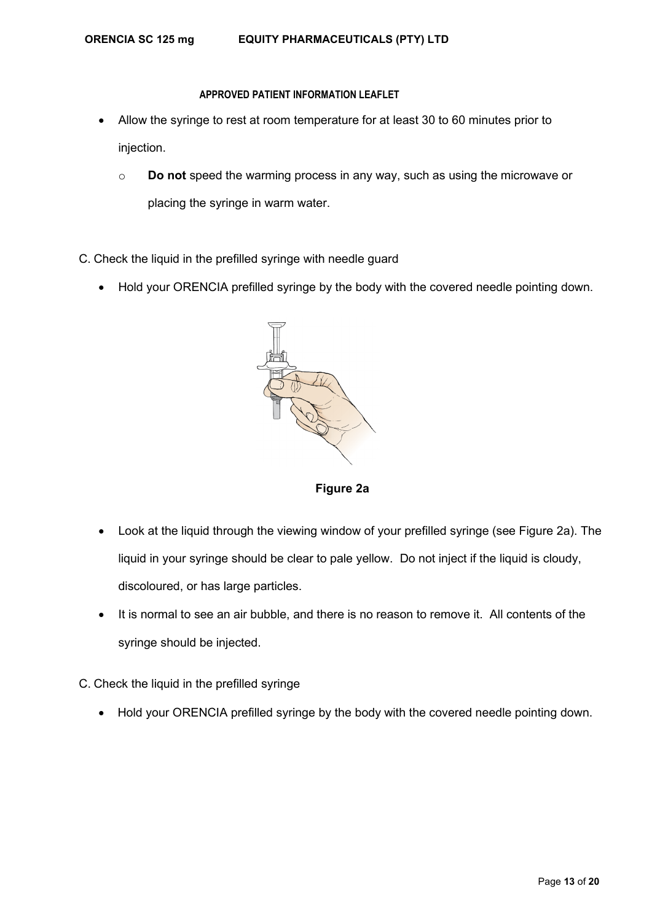- Allow the syringe to rest at room temperature for at least 30 to 60 minutes prior to injection.
	- o **Do not** speed the warming process in any way, such as using the microwave or placing the syringe in warm water.
- C. Check the liquid in the prefilled syringe with needle guard
	- Hold your ORENCIA prefilled syringe by the body with the covered needle pointing down.



**Figure 2a**

- Look at the liquid through the viewing window of your prefilled syringe (see Figure 2a). The liquid in your syringe should be clear to pale yellow. Do not inject if the liquid is cloudy, discoloured, or has large particles.
- It is normal to see an air bubble, and there is no reason to remove it. All contents of the syringe should be injected.
- C. Check the liquid in the prefilled syringe
	- Hold your ORENCIA prefilled syringe by the body with the covered needle pointing down.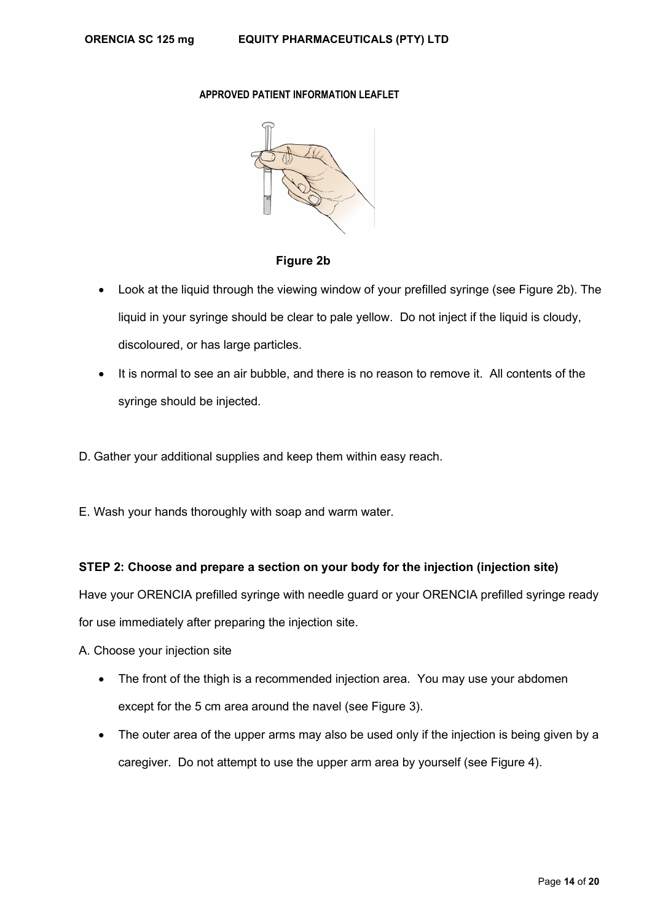

**Figure 2b**

- Look at the liquid through the viewing window of your prefilled syringe (see Figure 2b). The liquid in your syringe should be clear to pale yellow. Do not inject if the liquid is cloudy, discoloured, or has large particles.
- It is normal to see an air bubble, and there is no reason to remove it. All contents of the syringe should be injected.
- D. Gather your additional supplies and keep them within easy reach.
- E. Wash your hands thoroughly with soap and warm water.

# **STEP 2: Choose and prepare a section on your body for the injection (injection site)**

Have your ORENCIA prefilled syringe with needle guard or your ORENCIA prefilled syringe ready

for use immediately after preparing the injection site.

A. Choose your injection site

- The front of the thigh is a recommended injection area. You may use your abdomen except for the 5 cm area around the navel (see Figure 3).
- The outer area of the upper arms may also be used only if the injection is being given by a caregiver. Do not attempt to use the upper arm area by yourself (see Figure 4).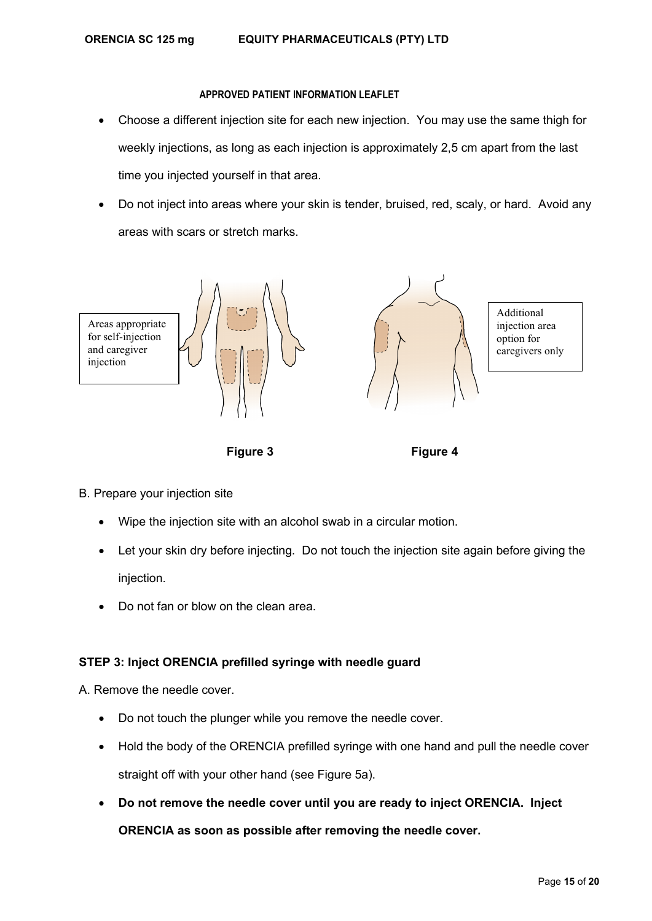- Choose a different injection site for each new injection. You may use the same thigh for weekly injections, as long as each injection is approximately 2,5 cm apart from the last time you injected yourself in that area.
- Do not inject into areas where your skin is tender, bruised, red, scaly, or hard. Avoid any areas with scars or stretch marks.



 **Figure 3 Figure 4**

- B. Prepare your injection site
	- Wipe the injection site with an alcohol swab in a circular motion.
	- Let your skin dry before injecting. Do not touch the injection site again before giving the injection.
	- Do not fan or blow on the clean area.

# **STEP 3: Inject ORENCIA prefilled syringe with needle guard**

A. Remove the needle cover.

- Do not touch the plunger while you remove the needle cover.
- Hold the body of the ORENCIA prefilled syringe with one hand and pull the needle cover straight off with your other hand (see Figure 5a).
- **Do not remove the needle cover until you are ready to inject ORENCIA. Inject**

**ORENCIA as soon as possible after removing the needle cover.**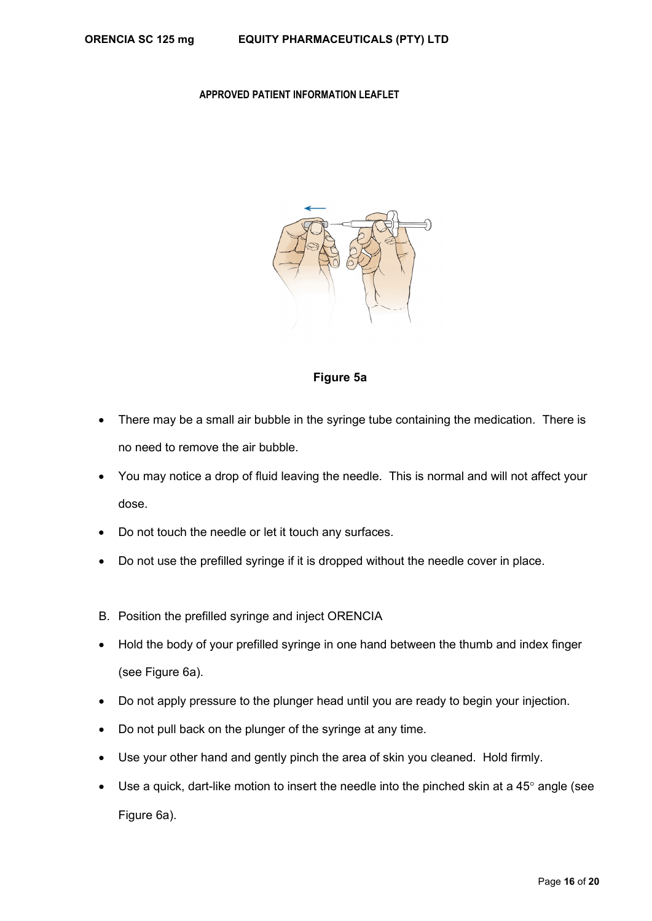

## **Figure 5a**

- There may be a small air bubble in the syringe tube containing the medication. There is no need to remove the air bubble.
- You may notice a drop of fluid leaving the needle. This is normal and will not affect your dose.
- Do not touch the needle or let it touch any surfaces.
- Do not use the prefilled syringe if it is dropped without the needle cover in place.
- B. Position the prefilled syringe and inject ORENCIA
- Hold the body of your prefilled syringe in one hand between the thumb and index finger (see Figure 6a).
- Do not apply pressure to the plunger head until you are ready to begin your injection.
- Do not pull back on the plunger of the syringe at any time.
- Use your other hand and gently pinch the area of skin you cleaned. Hold firmly.
- Use a quick, dart-like motion to insert the needle into the pinched skin at a 45 $\degree$  angle (see Figure 6a).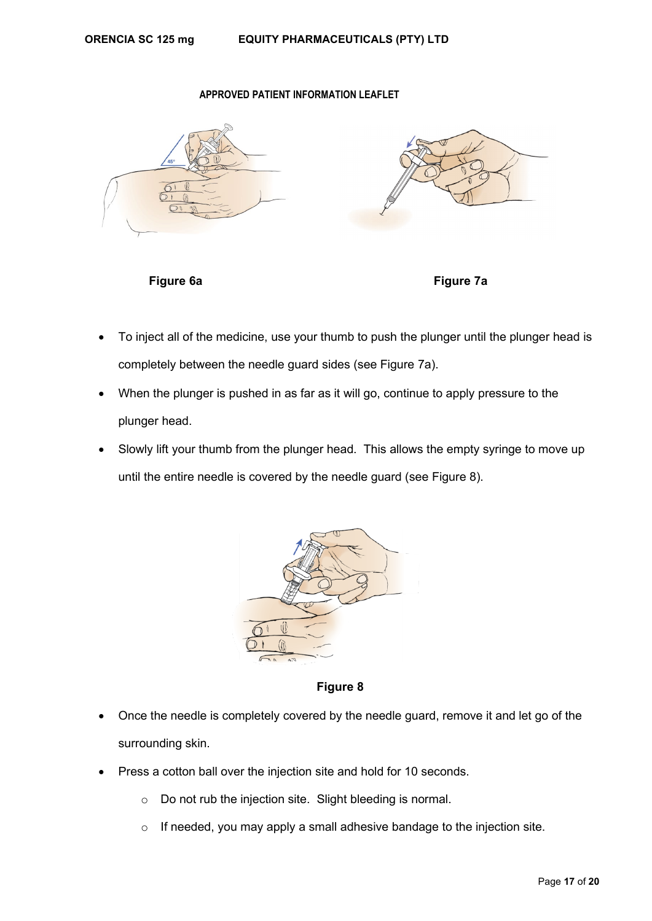





- To inject all of the medicine, use your thumb to push the plunger until the plunger head is completely between the needle guard sides (see Figure 7a).
- When the plunger is pushed in as far as it will go, continue to apply pressure to the plunger head.
- Slowly lift your thumb from the plunger head. This allows the empty syringe to move up until the entire needle is covered by the needle guard (see Figure 8).



**Figure 8**

- Once the needle is completely covered by the needle guard, remove it and let go of the surrounding skin.
- Press a cotton ball over the injection site and hold for 10 seconds.
	- o Do not rub the injection site. Slight bleeding is normal.
	- o If needed, you may apply a small adhesive bandage to the injection site.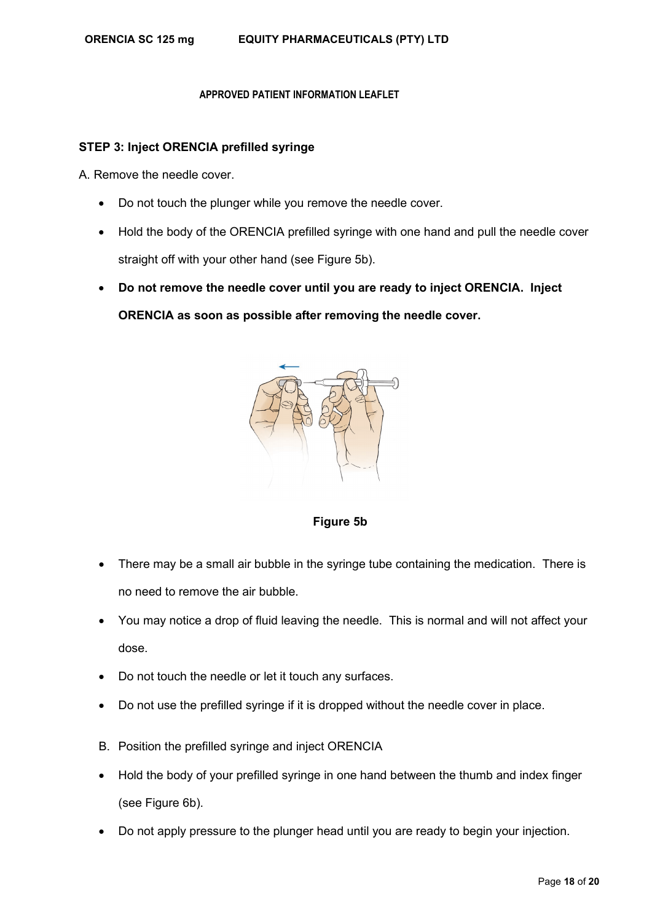## **STEP 3: Inject ORENCIA prefilled syringe**

A. Remove the needle cover.

- Do not touch the plunger while you remove the needle cover.
- Hold the body of the ORENCIA prefilled syringe with one hand and pull the needle cover straight off with your other hand (see Figure 5b).
- **Do not remove the needle cover until you are ready to inject ORENCIA. Inject ORENCIA as soon as possible after removing the needle cover.**



**Figure 5b**

- There may be a small air bubble in the syringe tube containing the medication. There is no need to remove the air bubble.
- You may notice a drop of fluid leaving the needle. This is normal and will not affect your dose.
- Do not touch the needle or let it touch any surfaces.
- Do not use the prefilled syringe if it is dropped without the needle cover in place.
- B. Position the prefilled syringe and inject ORENCIA
- Hold the body of your prefilled syringe in one hand between the thumb and index finger (see Figure 6b).
- Do not apply pressure to the plunger head until you are ready to begin your injection.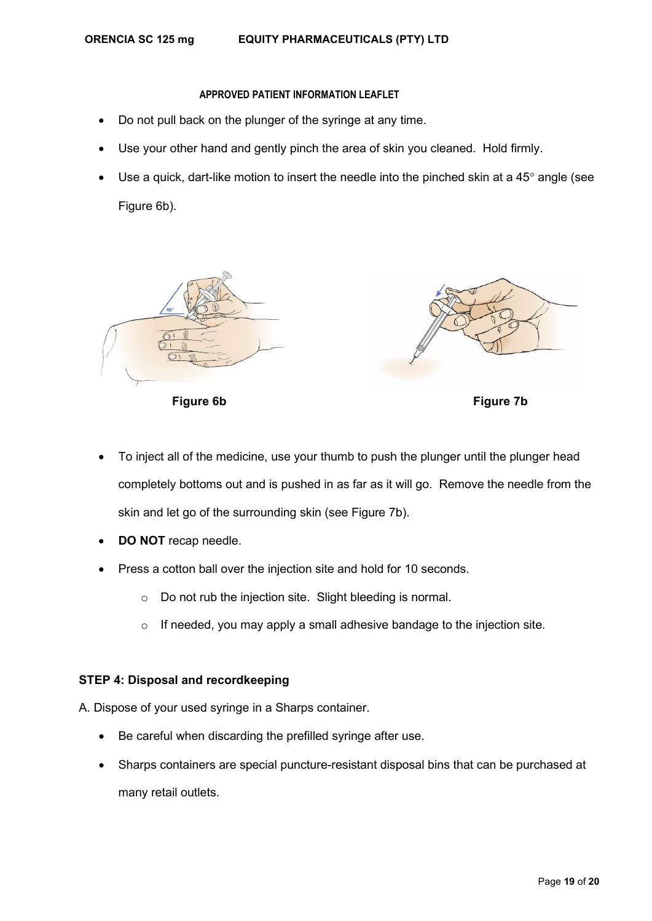- Do not pull back on the plunger of the syringe at any time.
- Use your other hand and gently pinch the area of skin you cleaned. Hold firmly.
- Use a quick, dart-like motion to insert the needle into the pinched skin at a  $45^{\circ}$  angle (see Figure 6b).





**Figure 6b Figure 7b**

- To inject all of the medicine, use your thumb to push the plunger until the plunger head completely bottoms out and is pushed in as far as it will go. Remove the needle from the skin and let go of the surrounding skin (see Figure 7b).
- **DO NOT** recap needle.
- Press a cotton ball over the injection site and hold for 10 seconds.
	- o Do not rub the injection site. Slight bleeding is normal.
	- $\circ$  If needed, you may apply a small adhesive bandage to the injection site.

# **STEP 4: Disposal and recordkeeping**

- A. Dispose of your used syringe in a Sharps container.
	- Be careful when discarding the prefilled syringe after use.
	- Sharps containers are special puncture-resistant disposal bins that can be purchased at many retail outlets.